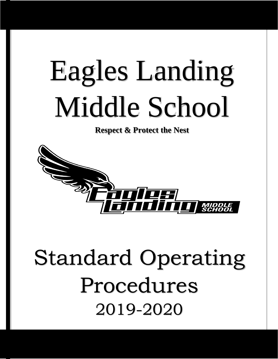# Eagles Landing Middle School

#### **Respect & Protect the Nest**



### Standard Operating Procedures 2019-2020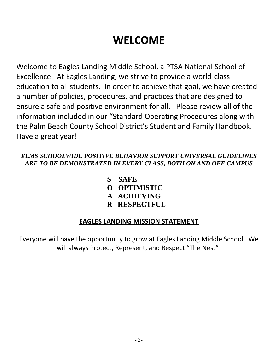### **WELCOME**

Welcome to Eagles Landing Middle School, a PTSA National School of Excellence. At Eagles Landing, we strive to provide a world-class education to all students. In order to achieve that goal, we have created a number of policies, procedures, and practices that are designed to ensure a safe and positive environment for all. Please review all of the information included in our "Standard Operating Procedures along with the Palm Beach County School District's Student and Family Handbook. Have a great year!

#### *ELMS SCHOOLWIDE POSITIVE BEHAVIOR SUPPORT UNIVERSAL GUIDELINES ARE TO BE DEMONSTRATED IN EVERY CLASS, BOTH ON AND OFF CAMPUS*

- **S** SAFE
- **O OPTIMISTIC**
- **A ACHIEVING**
- **R RESPECTFUL**

#### **EAGLES LANDING MISSION STATEMENT**

Everyone will have the opportunity to grow at Eagles Landing Middle School. We will always Protect, Represent, and Respect "The Nest"!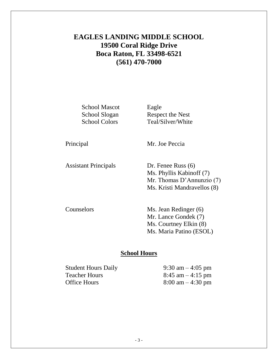#### **EAGLES LANDING MIDDLE SCHOOL 19500 Coral Ridge Drive Boca Raton, FL 33498-6521 (561) 470-7000**

School Mascot Eagle

School Slogan Respect the Nest School Colors Teal/Silver/White

Principal Mr. Joe Peccia

Assistant Principals Dr. Fenee Russ (6)

Ms. Phyllis Kabinoff (7) Mr. Thomas D'Annunzio (7) Ms. Kristi Mandravellos (8)

Counselors Ms. Jean Redinger (6) Mr. Lance Gondek (7) Ms. Courtney Elkin (8) Ms. Maria Patino (ESOL)

#### **School Hours**

Student Hours Daily 9:30 am – 4:05 pm Teacher Hours  $8:45 \text{ am} - 4:15 \text{ pm}$ Office Hours  $8:00 \text{ am} - 4:30 \text{ pm}$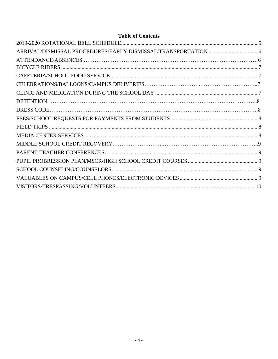#### **Table of Contents**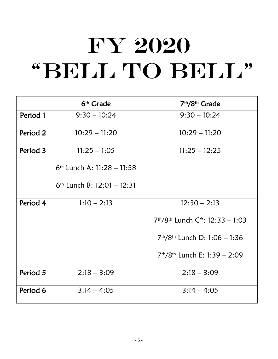## FY 2020 "BELL TO BELL"

|          | 6 <sup>th</sup> Grade        | 7 <sup>th</sup> /8 <sup>th</sup> Grade                  |
|----------|------------------------------|---------------------------------------------------------|
| Period 1 | $9:30 - 10:24$               | $9:30 - 10:24$                                          |
| Period 2 | $10:29 - 11:20$              | $10:29 - 11:20$                                         |
| Period 3 | $11:25 - 1:05$               | $11:25 - 12:25$                                         |
|          | $6th$ Lunch A: 11:28 - 11:58 |                                                         |
|          | $6th$ Lunch B: 12:01 - 12:31 |                                                         |
| Period 4 | $1:10 - 2:13$                | $12:30 - 2:13$                                          |
|          |                              | 7 <sup>th</sup> /8 <sup>th</sup> Lunch C*: 12:33 - 1:03 |
|          |                              | $7th/8th$ Lunch D: 1:06 - 1:36                          |
|          |                              | $7th/8th$ Lunch E: 1:39 - 2:09                          |
| Period 5 | $2:18 - 3:09$                | $2:18 - 3:09$                                           |
| Period 6 | $3:14 - 4:05$                | $3:14 - 4:05$                                           |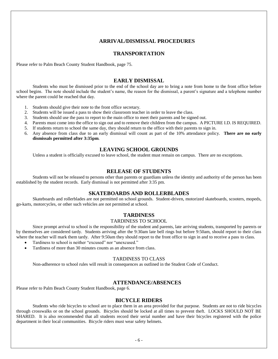#### **ARRIVAL/DISMISSAL PROCEDURES**

#### **TRANSPORTATION**

Please refer to Palm Beach County Student Handbook, page 75.

#### **EARLY DISMISSAL**

Students who must be dismissed prior to the end of the school day are to bring a note from home to the front office before school begins. The note should include the student's name, the reason for the dismissal, a parent's signature and a telephone number where the parent could be reached that day.

- 1. Students should give their note to the front office secretary.
- 2. Students will be issued a pass to show their classroom teacher in order to leave the class.
- 3. Students should use the pass to report to the main office to meet their parents and be signed out.
- 4. Parents must come into the office to sign out and to remove their children from the campus. A PICTURE I.D. IS REQUIRED.
- 5. If students return to school the same day, they should return to the office with their parents to sign in.
- 6. Any absence from class due to an early dismissal will count as part of the 10% attendance policy. **There are no early dismissals permitted after 3:35pm**.

#### **LEAVING SCHOOL GROUNDS**

Unless a student is officially excused to leave school, the student must remain on campus. There are no exceptions.

#### **RELEASE OF STUDENTS**

Students will not be released to persons other than parents or guardians unless the identity and authority of the person has been established by the student records. Early dismissal is not permitted after 3:35 pm.

#### **SKATEBOARDS AND ROLLERBLADES**

Skateboards and rollerblades are not permitted on school grounds. Student-driven, motorized skateboards, scooters, mopeds, go-karts, motorcycles, or other such vehicles are not permitted at school.

#### **TARDINESS**

#### TARDINESS TO SCHOOL

Since prompt arrival to school is the responsibility of the student and parents, late arriving students, transported by parents or by themselves are considered tardy. Students arriving after the 9:30am late bell rings but before 9:50am, should report to their class where the teacher will mark them tardy. After 9:50am they should report to the front office to sign in and to receive a pass to class.

- Tardiness to school is neither "excused" nor "unexcused."
- Tardiness of more than 30 minutes counts as an absence from class.

#### TARDINESS TO CLASS

Non-adherence to school rules will result in consequences as outlined in the Student Code of Conduct.

#### **ATTENDANCE/ABSENCES**

Please refer to Palm Beach County Student Handbook, page 6.

#### **BICYCLE RIDERS**

<span id="page-5-0"></span>Students who ride bicycles to school are to place them in an area provided for that purpose. Students are not to ride bicycles through crosswalks or on the school grounds. Bicycles should be locked at all times to prevent theft. LOCKS SHOULD NOT BE SHARED. It is also recommended that all students record their serial number and have their bicycles registered with the police department in their local communities. Bicycle riders must wear safety helmets.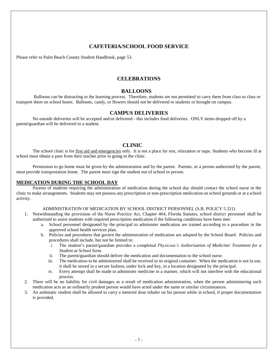#### **CAFETERIA/SCHOOL FOOD SERVICE**

<span id="page-6-0"></span>Please refer to Palm Beach County Student Handbook, page 53.

#### **CELEBRATIONS**

#### **BALLOONS**

Balloons can be distracting to the learning process. Therefore, students are not permitted to carry them from class to class or transport them on school buses. Balloons, candy, or flowers should not be delivered to students or brought on campus.

#### **CAMPUS DELIVERIES**

No outside deliveries will be accepted and/or delivered - this includes food deliveries. ONLY items dropped off by a parent/guardian will be delivered to a student.

#### **CLINIC**

<span id="page-6-1"></span>The school clinic is for first aid and emergencies only. It is not a place for rest, relaxation or naps. Students who become ill at school must obtain a pass from their teacher prior to going to the clinic.

Permission to go home must be given by the administration and by the parent. Parents, or a person authorized by the parent, must provide transportation home. The parent must sign the student out of school in person.

#### **MEDICATION DURING THE SCHOOL DAY**

Parents of students requiring the administration of medication during the school day should contact the school nurse in the clinic to make arrangements. Students may not possess any prescription or non-prescription medication on school grounds or at a school activity.

#### ADMINISTRATION OF MEDICATION BY SCHOOL DISTRICT PERSONNEL (S.B. POLICY 5.321)

- 1. Notwithstanding the provisions of the Nurse Practice Act, Chapter 464, Florida Statutes, school district personnel shall be authorized to assist students with required prescription medication if the following conditions have been met:
	- a. School personnel designated by the principal to administer medication are trained according to a procedure in the approved school health services plan.
	- b. Policies and procedures that govern the administration of medication are adopted by the School Board. Policies and procedures shall include, but not be limited to:
		- i. The student's parent/guardian provides a completed *Physician's Authorization of Medicine/ Treatment for a Student at School* form.
		- ii. The parent/guardian should deliver the medication and documentation to the school nurse.
		- iii. The medication to be administered shall be received in its original container. When the medication is not in use, it shall be stored in a secure fashion, under lock and key, in a location designated by the principal.
		- iv. Every attempt shall be made to administer medicine in a manner, which will not interfere with the educational process.
- 2. There will be no liability for civil damages as a result of medication administration, when the person administering such medication acts as an ordinarily prudent person would have acted under the same or similar circumstances.
- 3. An asthmatic student shall be allowed to carry a metered dose inhaler on his person while in school, if proper documentation is provided.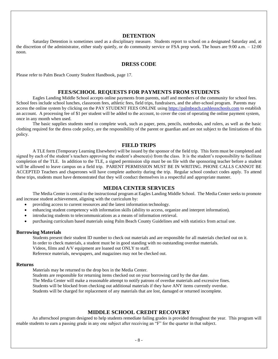#### **DETENTION**

<span id="page-7-0"></span>Saturday Detention is sometimes used as a disciplinary measure. Students report to school on a designated Saturday and, at the discretion of the administrator, either study quietly, or do community service or FSA prep work. The hours are 9:00 a.m. – 12:00 noon.

#### **DRESS CODE**

<span id="page-7-1"></span>Please refer to Palm Beach County Student Handbook, page 17.

#### **FEES/SCHOOL REQUESTS FOR PAYMENTS FROM STUDENTS**

Eagles Landing Middle School accepts online payments from parents, staff and members of the community for school fees. School fees include school lunches, classroom fees, athletic fees, field trips, fundraisers, and the after-school program. Parents may access the online system by clicking on the PAY STUDENT FEES ONLINE using [https://palmbeach.cashlessschools.com](https://palmbeach.cashlessschools.com/) to establish an account. A processing fee of \$1 per student will be added to the account, to cover the cost of operating the online payment system, once in any month when used.

The basic supplies students need to complete work, such as paper, pens, pencils, notebooks, and rulers, as well as the basic clothing required for the dress code policy, are the responsibility of the parent or guardian and are not subject to the limitations of this policy.

#### **FIELD TRIPS**

A TLE form (Temporary Learning Elsewhere) will be issued by the sponsor of the field trip. This form must be completed and signed by each of the student's teachers approving the student's absence(s) from the class. It is the student's responsibility to facilitate completion of the TLE. In addition to the TLE, a signed permission slip must be on file with the sponsoring teacher before a student will be allowed to leave campus on a field trip. PARENT PERMISSION MUST BE IN WRITING. PHONE CALLS CANNOT BE ACCEPTED Teachers and chaperones will have complete authority during the trip. Regular school conduct codes apply. To attend these trips, students must have demonstrated that they will conduct themselves in a respectful and appropriate manner.

#### **MEDIA CENTER SERVICES**

<span id="page-7-2"></span>The Media Center is central to the instructional program at Eagles Landing Middle School. The Media Center seeks to promote and increase student achievement, aligning with the curriculum by:

- providing access to current resources and the latest information technology.
- enhancing student competency with information skills (ability to access, organize and interpret information).
- introducing students to telecommunications as a means of information retrieval.
- purchasing curriculum based materials using Palm Beach County Guidelines and with statistics from actual use.

#### **Borrowing Materials**

Students present their student ID number to check out materials and are responsible for all materials checked out on it. In order to check materials, a student must be in good standing with no outstanding overdue materials.

Videos, films and A/V equipment are loaned out ONLY to staff.

Reference materials, newspapers, and magazines may not be checked out.

#### **Returns**

Materials may be returned to the drop box in the Media Center.

Students are responsible for returning items checked out on your borrowing card by the due date.

The Media Center will make a reasonable attempt to notify patrons of overdue materials and excessive fines.

Students will be blocked from checking out additional materials if they have ANY items currently overdue.

Students will be charged for replacement of any materials that are lost, damaged or returned incomplete.

#### **MIDDLE SCHOOL CREDIT RECOVERY**

 An afterschool program designed to help students remediate failing grades is provided throughout the year. This program will enable students to earn a passing grade in any one subject after receiving an "F" for the quarter in that subject.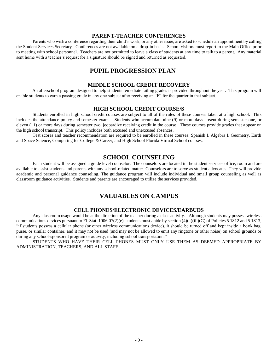#### **PARENT-TEACHER CONFERENCES**

<span id="page-8-0"></span>Parents who wish a conference regarding their child's work, or any other issue, are asked to schedule an appointment by calling the Student Services Secretary. Conferences are not available on a drop-in basis. School visitors must report to the Main Office prior to meeting with school personnel. Teachers are not permitted to leave a class of students at any time to talk to a parent. Any material sent home with a teacher's request for a signature should be signed and returned as requested.

#### **PUPIL PROGRESSION PLAN**

#### **MIDDLE SCHOOL CREDIT RECOVERY**

 An afterschool program designed to help students remediate failing grades is provided throughout the year. This program will enable students to earn a passing grade in any one subject after receiving an "F" for the quarter in that subject.

#### **HIGH SCHOOL CREDIT COURSE/S**

Students enrolled in high school credit courses are subject to all of the rules of these courses taken at a high school. This includes the attendance policy and semester exams. Students who accumulate nine (9) or more days absent during semester one, or eleven (11) or more days during semester two, jeopardize receiving credit in the course. These courses provide grades that appear on the high school transcript. This policy includes both excused and unexcused absences.

Test scores and teacher recommendation are required to be enrolled in these courses: Spanish I, Algebra I, Geometry, Earth and Space Science, Computing for College & Career, and High School Florida Virtual School courses.

#### **SCHOOL COUNSELING**

Each student will be assigned a grade level counselor. The counselors are located in the student services office, room and are available to assist students and parents with any school-related matter. Counselors are to serve as student advocates. They will provide academic and personal guidance counseling. The guidance program will include individual and small group counseling as well as classroom guidance activities. Students and parents are encouraged to utilize the services provided.

#### **VALUABLES ON CAMPUS**

#### **CELL PHONES/ELECTRONIC DEVICES/EARBUDS**

Any classroom usage would be at the direction of the teacher during a class activity. Although students may possess wireless communications devices pursuant to Fl. Stat. 1006.07(2)(e), students must abide by section  $(4)(a)(iii)(G)$  of Policies 5.1812 and 5.1813, "if students possess a cellular phone (or other wireless communications device), it should be turned off and kept inside a book bag, purse, or similar container, and it may not be used (and may not be allowed to emit any ringtone or other noise) on school grounds or during any school-sponsored program or activity, including school transportation."

STUDENTS WHO HAVE THEIR CELL PHONES MUST ONLY USE THEM AS DEEMED APPROPRIATE BY ADMINISTRATION, TEACHERS, AND ALL STAFF